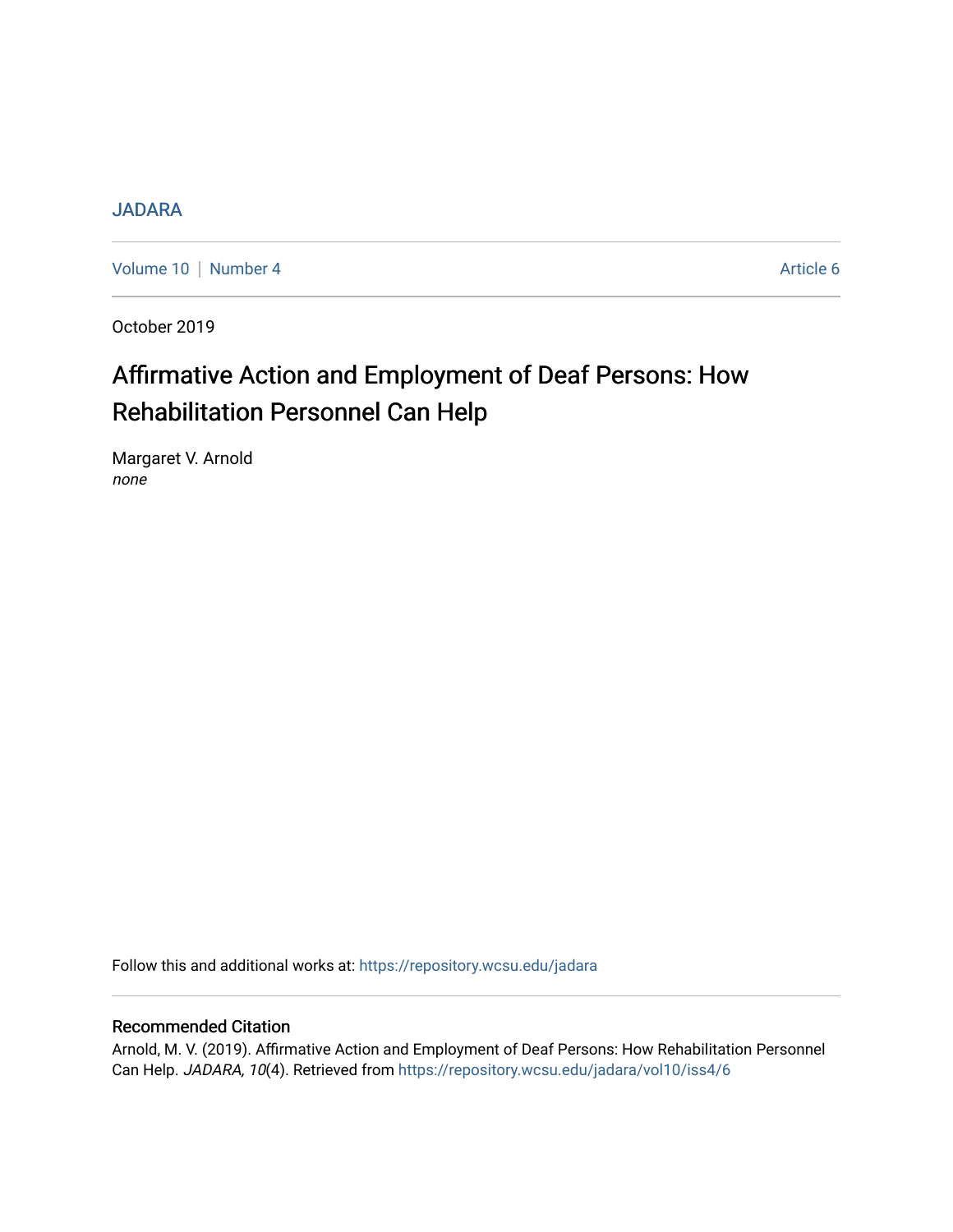# **[JADARA](https://repository.wcsu.edu/jadara)**

[Volume 10](https://repository.wcsu.edu/jadara/vol10) | [Number 4](https://repository.wcsu.edu/jadara/vol10/iss4) Article 6

October 2019

# Affirmative Action and Employment of Deaf Persons: How Rehabilitation Personnel Can Help

Margaret V. Arnold none

Follow this and additional works at: [https://repository.wcsu.edu/jadara](https://repository.wcsu.edu/jadara?utm_source=repository.wcsu.edu%2Fjadara%2Fvol10%2Fiss4%2F6&utm_medium=PDF&utm_campaign=PDFCoverPages)

### Recommended Citation

Arnold, M. V. (2019). Affirmative Action and Employment of Deaf Persons: How Rehabilitation Personnel Can Help. JADARA, 10(4). Retrieved from [https://repository.wcsu.edu/jadara/vol10/iss4/6](https://repository.wcsu.edu/jadara/vol10/iss4/6?utm_source=repository.wcsu.edu%2Fjadara%2Fvol10%2Fiss4%2F6&utm_medium=PDF&utm_campaign=PDFCoverPages)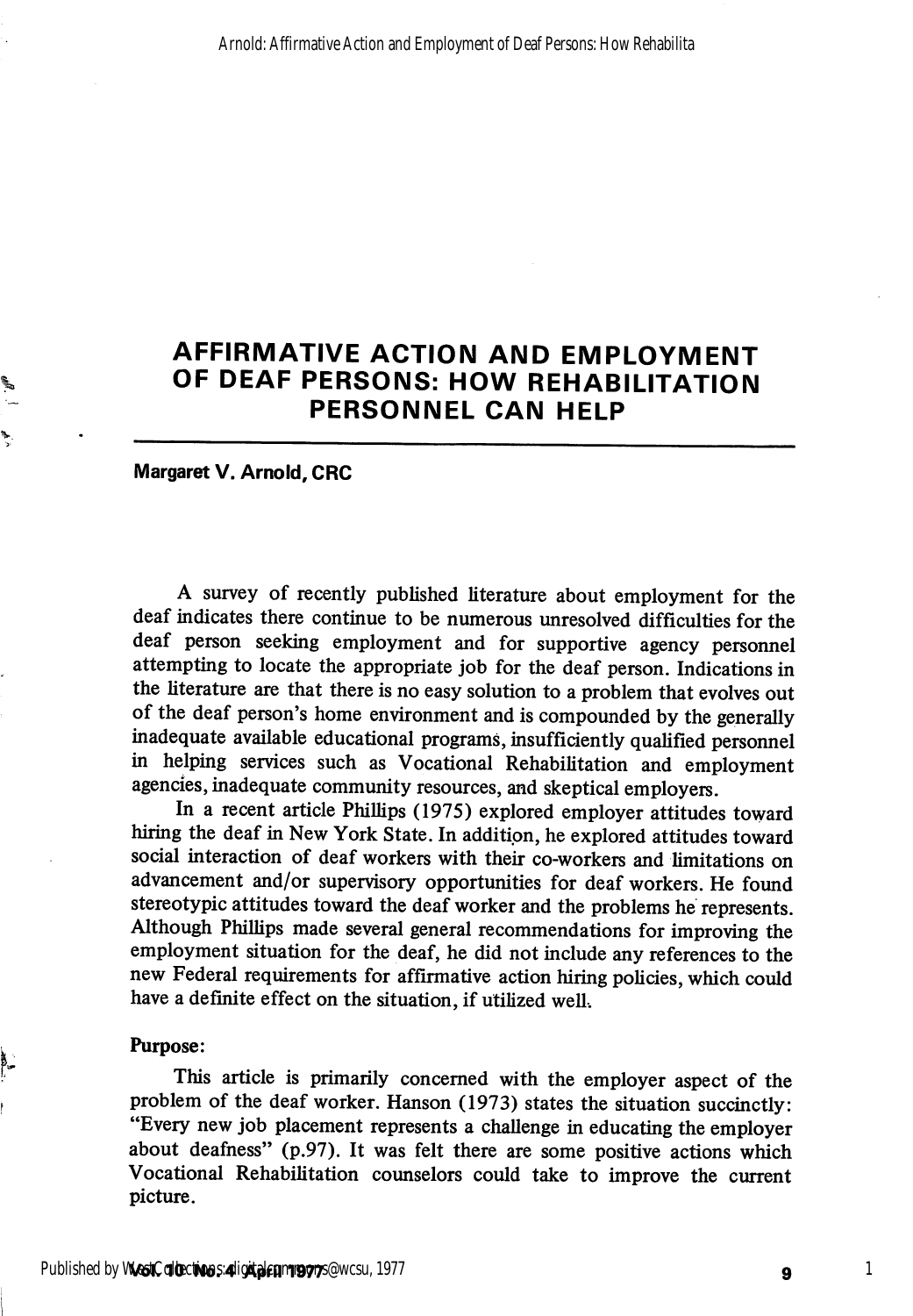# AFFIRMATIVE ACTION AND EMPLOYMENT OF DEAF PERSONS: HOW REHABILITATION PERSONNEL CAN HELP

Margaret V. Arnold, CRC

A survey of recently published literature about employment for the deaf indicates there continue to be numerous unresolved difficulties for the deaf person seeking employment and for supportive agency personnel attempting to locate the appropriate job for the deaf person. Indications in the literature are that there is no easy solution to a problem that evolves out of the deaf person's home environment and is compounded by the generally inadequate available educational programs, insufficiently qualified personnel in helping services such as Vocational Rehabilitation and employment agencies, inadequate community resources, and skeptical employers.

In a recent article Phillips (1975) explored employer attitudes toward hiring the deaf in New York State. In addition, he explored attitudes toward social interaction of deaf workers with their co-workers and limitations on advancement and/or supervisory opportunities for deaf workers. He found stereotypic attitudes toward the deaf worker and the problems he represents. Although Phillips made several general recommendations for improving the employment situation for the deaf, he did not include any references to the new Federal requirements for affirmative action hiring pohcies, which could have a definite effect on the situation, if utilized well.

#### Purpose:

This article is primarily concerned with the employer aspect of the problem of the deaf worker. Hanson (1973) states the situation succinctly: "Every new job placement represents a challenge in educating the employer about deafness" (p.97). It was felt there are some positive actions which Vocational Rehabilitation counselors could take to improve the current picture.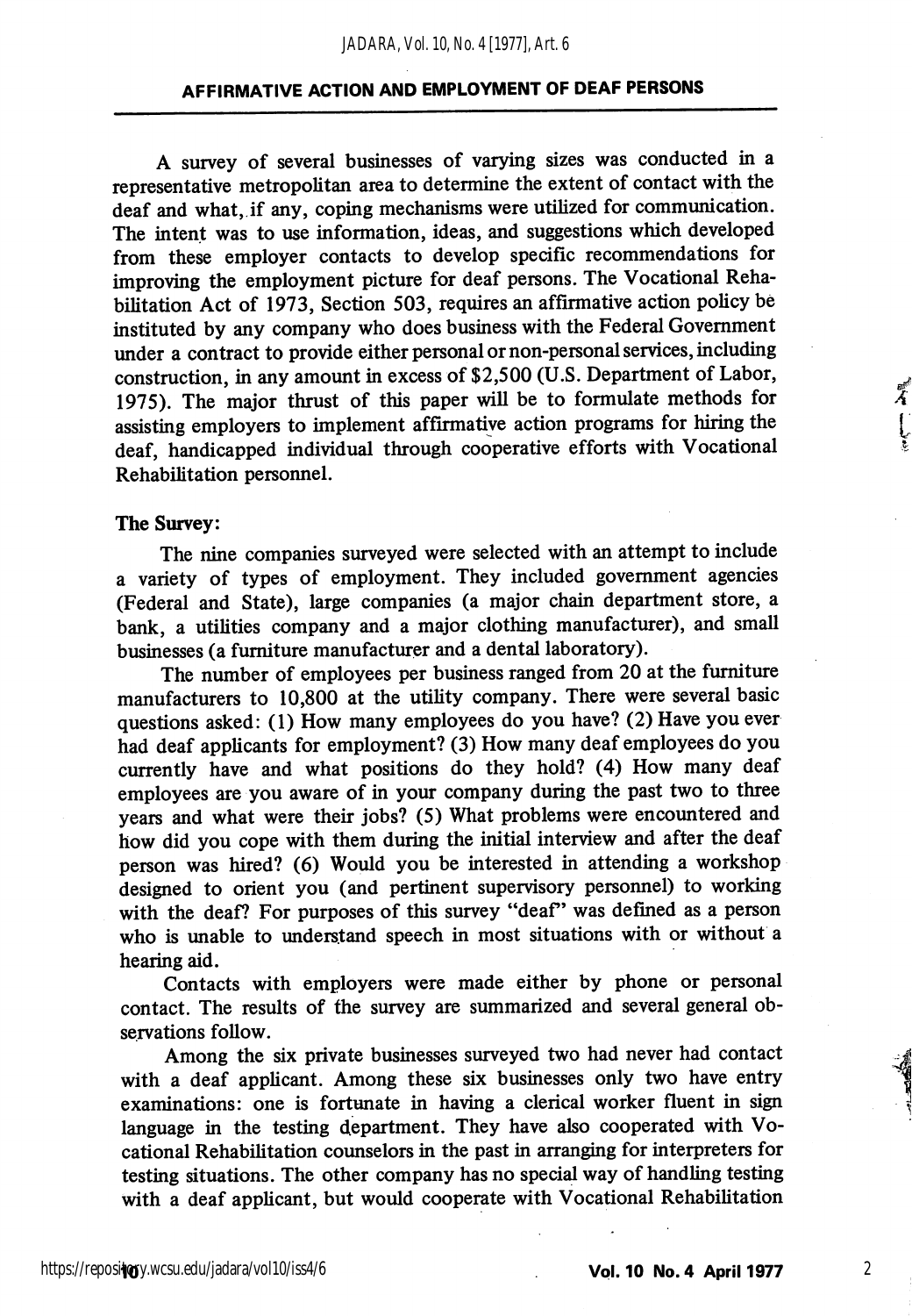A survey of several businesses of varying sizes was conducted in a representative metropolitan area to determine the extent of contact with the deaf and what, if any, coping mechanisms were utilized for communication. The intent was to use information, ideas, and suggestions which developed from these employer contacts to develop spedfic recommendations for improving the employment picture for deaf persons. The Vocational Reha bilitation Act of 1973, Section 503, requires an affirmative action policy be instituted by any company who does business with the Federal Government under a contract to provide either personal or non-personal services, including construction, in any amount in excess of \$2,500 (U.S. Department of Labor, 1975). The major thrust of this paper will be to formulate methods for assisting employers to implement affirmative action programs for hiring the deaf, handicapped individual through cooperative efforts with Vocational Rehabilitation personnel.

#### The Survey:

The nine companies surveyed were selected with an attempt to include a variety of types of employment. They included government agencies (Federal and State), large companies (a major chain department store, a bank, a utilities company and a major clothing manufacturer), and small businesses (a furniture manufacturer and a dental laboratory).

The number of employees per business ranged from 20 at the furniture manufacturers to 10,800 at the utility company. There were several basic questions asked: (1) How many employees do you have? (2) Have you ever had deaf applicants for employment? (3) How many deaf employees do you currently have and what positions do they hold? (4) How many deaf employees are you aware of in your company during the past two to three years and what were their jobs? (5) What problems were encountered and how did you cope with them during the initial interview and after the deaf person was hired? (6) Would you be interested in attending a workshop designed to orient you (and pertinent supervisory personnel) to working with the deaf? For purposes of this survey "deaf" was defined as a person who is unable to understand speech in most situations with or without a hearing aid.

Contacts with employers were made either by phone or personal contact. The results of the survey are summarized and several general ob servations follow.

Among the six private businesses surveyed two had never had contact with a deaf applicant. Among these six businesses only two have entry examinations: one is fortunate in having a clerical worker fluent in sign language in the testing department. They have also cooperated with Vo cational Rehabilitation counselors in the past in arranging for interpreters for testing situations. The other company has no special way of handling testing with a deaf applicant, but would cooperate with Vocational Rehabilitation

ギ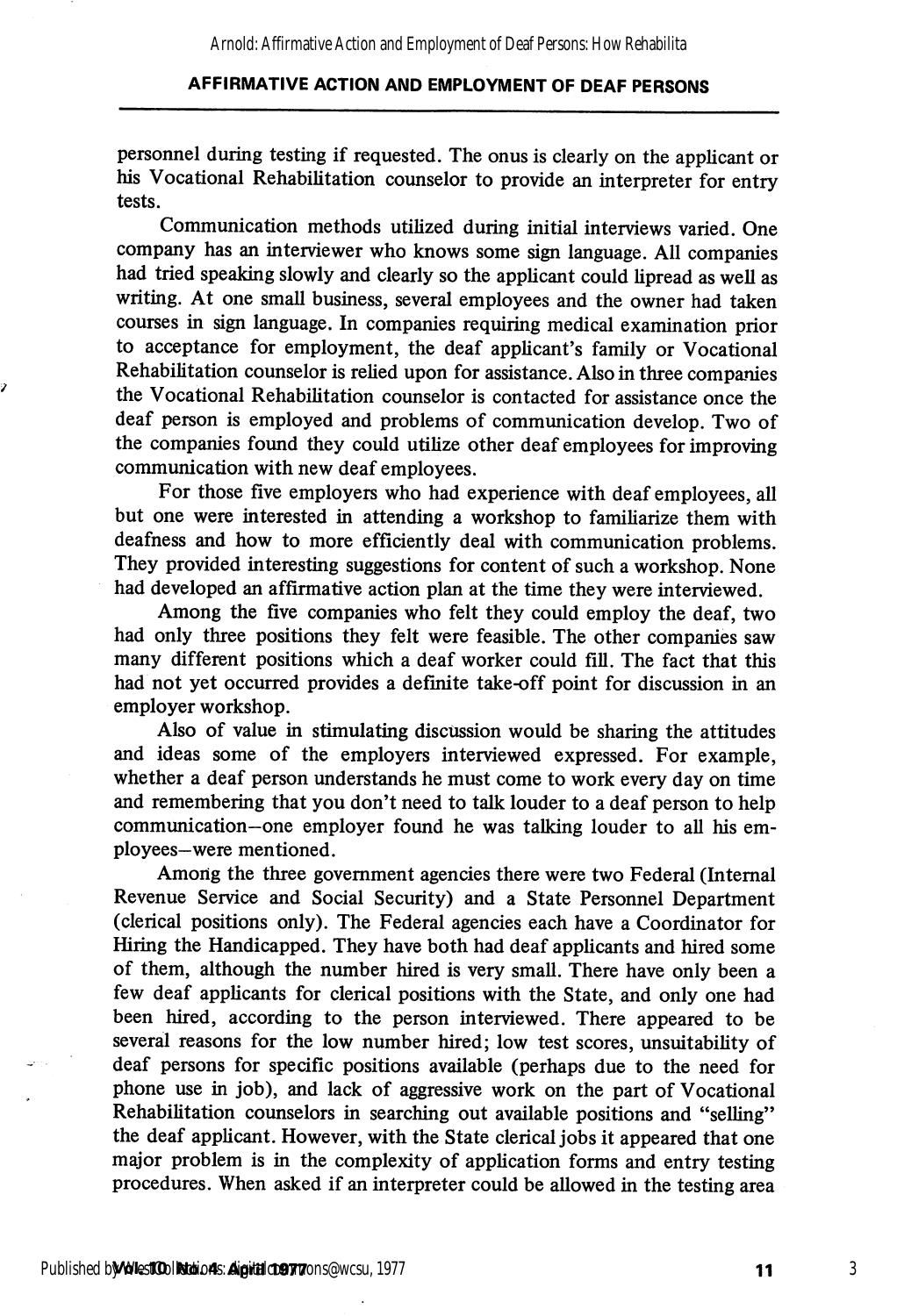personnel during testing if requested. The onus is clearly on the apphcant or his Vocational Rehabilitation counselor to provide an interpreter for entry tests.

Communication methods utilized during initial interviews varied. One company has an interviewer who knows some sign language. All companies had tried speaking slowly and clearly so the applicant could lipread as well as writing. At one small business, several employees and the owner had taken courses in sign language. In companies requiring medical examination prior to acceptance for employment, the deaf applicant's family or Vocational Rehabilitation counselor is relied upon for assistance. Also in three companies the Vocational Rehabilitation counselor is contacted for assistance once the deaf person is employed and problems of communication develop. Two of the companies found they could utihze other deaf employees for improving communication with new deaf employees.

For those five employers who had experience with deaf employees, all but one were interested in attending a workshop to famiharize them with deafness and how to more efficiently deal with communication problems. They provided interesting suggestions for content of such a workshop. None had developed an affirmative action plan at the time they were interviewed.

Among the five companies who felt they could employ the deaf, two had only three positions they felt were feasible. The other companies saw many different positions which a deaf worker could fill. The fact that this had not yet occurred provides a definite take-off point for discussion in an employer workshop.

Also of value in stimulating discussion would be sharing the attitudes and ideas some of the employers interviewed expressed. For example, whether a deaf person understands he must come to work every day on time and remembering that you don't need to talk louder to a deaf person to help commimication—one employer found he was talking louder to all his em ployees—were mentioned.

Among the three government agencies there were two Federal (Internal Revenue Service and Social Security) and a State Personnel Department (clerical positions only). The Federal agencies each have a Coordinator for Hiring the Handicapped. They have both had deaf applicants and hired some of them, although the number hired is very small. There have only been a few deaf applicants for clerical positions with the State, and only one had been hired, according to the person interviewed. There appeared to be several reasons for the low number hired; low test scores, unsuitability of deaf persons for specific positions available (perhaps due to the need for phone use in job), and lack of aggressive work on the part of Vocational Rehabilitation counselors in searching out available positions and "selling" the deaf applicant. However, with the State clerical jobs it appeared that one major problem is in the complexity of application forms and entry testing procedures. When asked if an interpreter could be allowed in the testing area

ÿ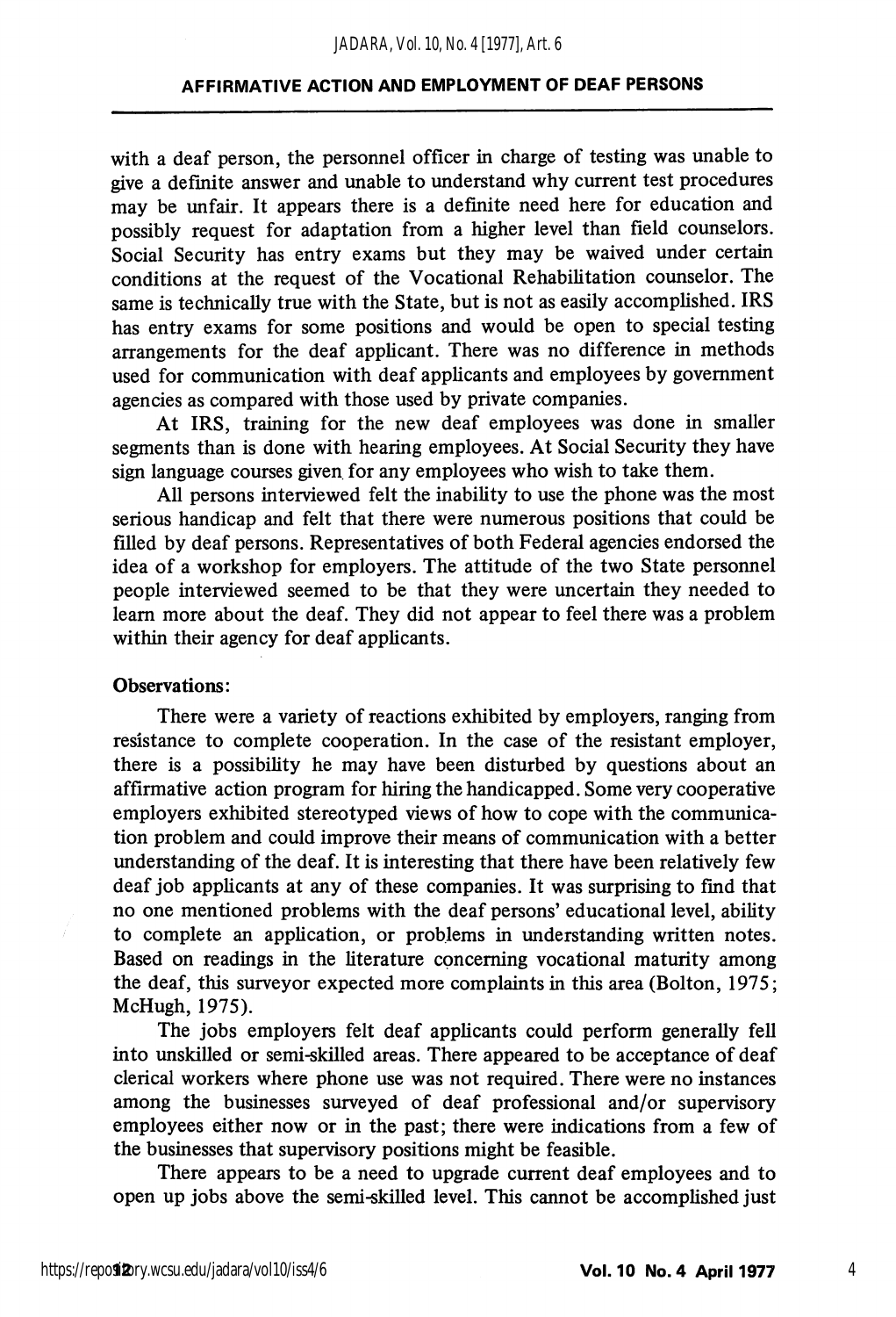with a deaf person, the personnel officer in charge of testing was unable to give a definite answer and unable to understand why current test procedures may be unfair. It appears there is a definite need here for education and possibly request for adaptation from a higher level than field counselors. Social Security has entry exams but they may be waived under certain conditions at the request of the Vocational Rehabilitation counselor. The same is technically true with the State, but is not as easily accomplished. IRS has entry exams for some positions and would be open to special testing arrangements for the deaf applicant. There was no difference in methods used for communication with deaf applicants and employees by government agencies as compared with those used by private companies.

At IRS, training for the new deaf employees was done in smaller segments than is done with hearing employees. At Social Security they have sign language courses given for any employees who wish to take them.

All persons interviewed felt the inability to use the phone was the most serious handicap and felt that there were numerous positions that could be filled by deaf persons. Representatives of both Federal agencies endorsed the idea of a workshop for employers. The attitude of the two State personnel people interviewed seemed to be that they were uncertain they needed to learn more about the deaf. They did not appear to feel there was a problem within their agency for deaf applicants.

#### Observations:

There were a variety of reactions exhibited by employers, ranging from resistance to complete cooperation. In the case of the resistant employer, there is a possibility he may have been disturbed by questions about an affirmative action program for hiring the handicapped. Some very cooperative employers exhibited stereotyped views of how to cope with the communica tion problem and could improve their means of communication with a better understanding of the deaf. It is interesting that there have been relatively few deaf job applicants at any of these companies. It was surprising to find that no one mentioned problems with the deaf persons' educational level, ability to complete an application, or problems in understanding written notes. Based on readings in the literature concerning vocational maturity among the deaf, this surveyor expected more complaints in this area (Bolton, 1975; McHugh, 1975).

The jobs employers felt deaf applicants could perform generally fell into unskilled or semi-skilled areas. There appeared to be acceptance of deaf clerical workers where phone use was not required. There were no instances among the businesses surveyed of deaf professional and/or supervisory employees either now or in the past; there were indications from a few of the businesses that supervisory positions might be feasible.

There appears to be a need to upgrade current deaf employees and to open up jobs above the semi-skilled level. This cannot be accomplished just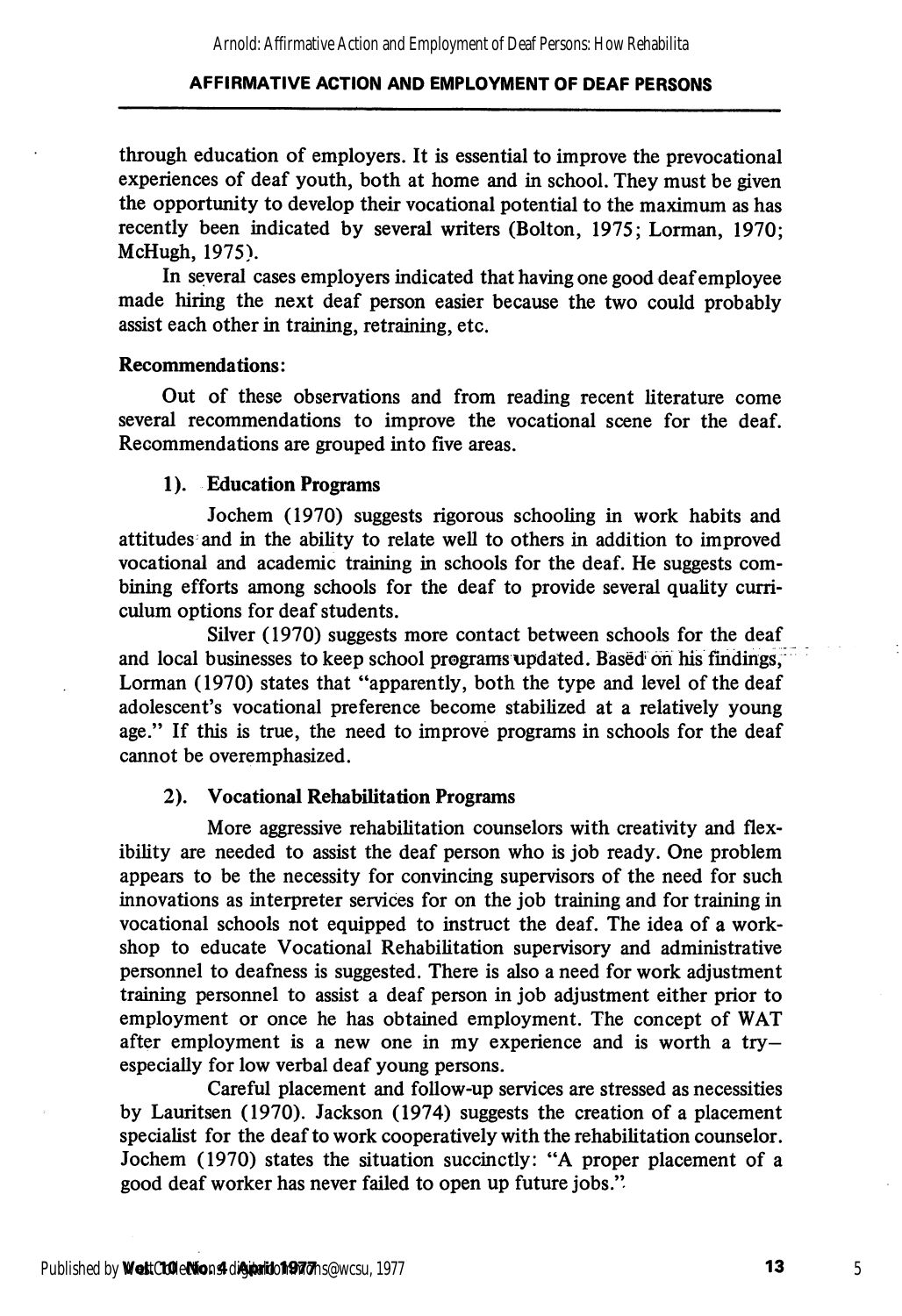through education of employers. It is essential to improve the prevocational experiences of deaf youth, both at home and in school. They must be given the opportunity to develop their vocational potential to the maximum as has recently been indicated by several writers (Bolton, 1975; Lorman, 1970; McHugh, 1975).

In several cases employers indicated that having one good deaf employee made hiring the next deaf person easier because the two could probably assist each other in training, retraining, etc.

#### Recommendations:

Out of these observations and from reading recent literature come several recommendations to improve the vocational scene for the deaf. Recommendations are grouped into five areas.

#### 1). Education Programs

Jochem (1970) suggests rigorous schooling in work habits and attitudes and in the ability to relate well to others in addition to improved vocational and academic training in schools for the deaf. He suggests com bining efforts among schools for the deaf to provide several quality curri culum options for deaf students.

Silver (1970) suggests more contact between schools for the deaf and local businesses to keep school programs updated. Based on his findings, Lorman (1970) states that "apparently, both the type and level of the deaf adolescent's vocational preference become stabilized at a relatively young age." If this is true, the need to improve programs in schools for the deaf cannot be overemphasized.

#### 2). Vocational Rehabilitation Programs

More aggressive rehabilitation counselors with creativity and flex ibility are needed to assist the deaf person who is job ready. One problem appears to be the necessity for convincing supervisors of the need for such innovations as interpreter services for on the job training and for training in vocational schools not equipped to instruct the deaf. The idea of a work shop to educate Vocational Rehabilitation supervisory and administrative personnel to deafness is suggested. There is also a need for work adjustment training personnel to assist a deaf person in job adjustment either prior to employment or once he has obtained employment. The concept of WAT after employment is a new one in my experience and is worth a tryespecially for low verbal deaf young persons.

Careful placement and follow-up services are stressed as necessities by Lauritsen (1970). Jackson (1974) suggests the creation of a placement specialist for the deaf to work cooperatively with the rehabilitation counselor. Jochem (1970) states the situation succinctly: "A proper placement of a good deaf worker has never failed to open up future jobs."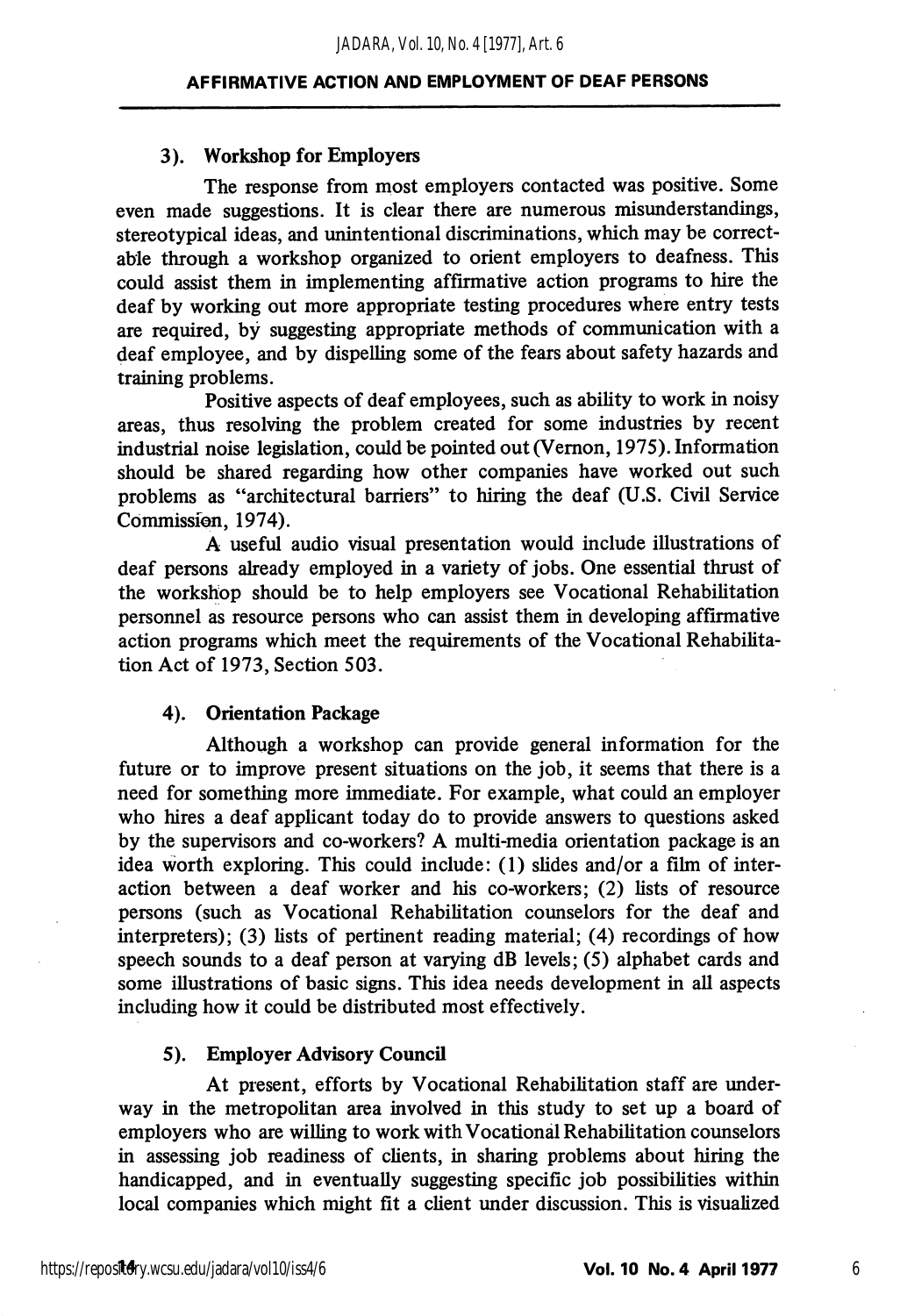#### 3). Workshop for Employers

The response from most employers contacted was positive. Some even made suggestions. It is clear there are numerous misimderstandings, stereotypical ideas, and unintentional discriminations, which may be correct able through a workshop organized to orient employers to deafness. This could assist them in implementing affirmative action programs to hire the deaf by working out more appropriate testing procedures where entry tests are required, by suggesting appropriate methods of communication with a deaf employee, and by dispelling some of the fears about safety hazards and training problems.

Positive aspects of deaf employees, such as ability to work in noisy areas, thus resolving the problem created for some industries by recent industrial noise legislation, could be pointed out (Vemon, 1975). Information should be shared regarding how other companies have worked out such problems as "architectural barriers" to hiring the deaf (U.S. Civil Service Commission, 1974).

A useful audio visual presentation would include illustrations of deaf persons already employed in a variety of jobs. One essential thrust of the workshop should be to help employers see Vocational Rehabilitation personnel as resource persons who can assist them in developing affirmative action programs which meet the requirements of the Vocational Rehabilita tion Act of 1973, Section 503.

#### 4). Orientation Package

Although a workshop can provide general information for the future or to improve present situations on the job, it seems that there is a need for something more immediate. For example, what could an employer who hires a deaf applicant today do to provide answers to questions asked by the supervisors and co-workers? A multi-media orientation package is an idea worth exploring. This could include: (1) slides and/or a film of inter action between a deaf worker and his co-workers; (2) lists of resource persons (such as Vocational Rehabilitation counselors for the deaf and interpreters); (3) lists of pertinent reading material; (4) recordings of how speech sounds to a deaf person at varying  $dB$  levels; (5) alphabet cards and some illustrations of basic signs. This idea needs development in all aspects including how it could be distributed most effectively.

#### 5). Employer Advisory Council

At present, efforts by Vocational Rehabilitation staff are underway in the metropolitan area involved in this study to set up a board of employers who are willing to work with Vocational Rehabilitation counselors in assessing job readiness of clients, in sharing problems about hiring the handicapped, and in eventually suggesting specific job possibilities within local companies which might fit a client under discussion. This is visualized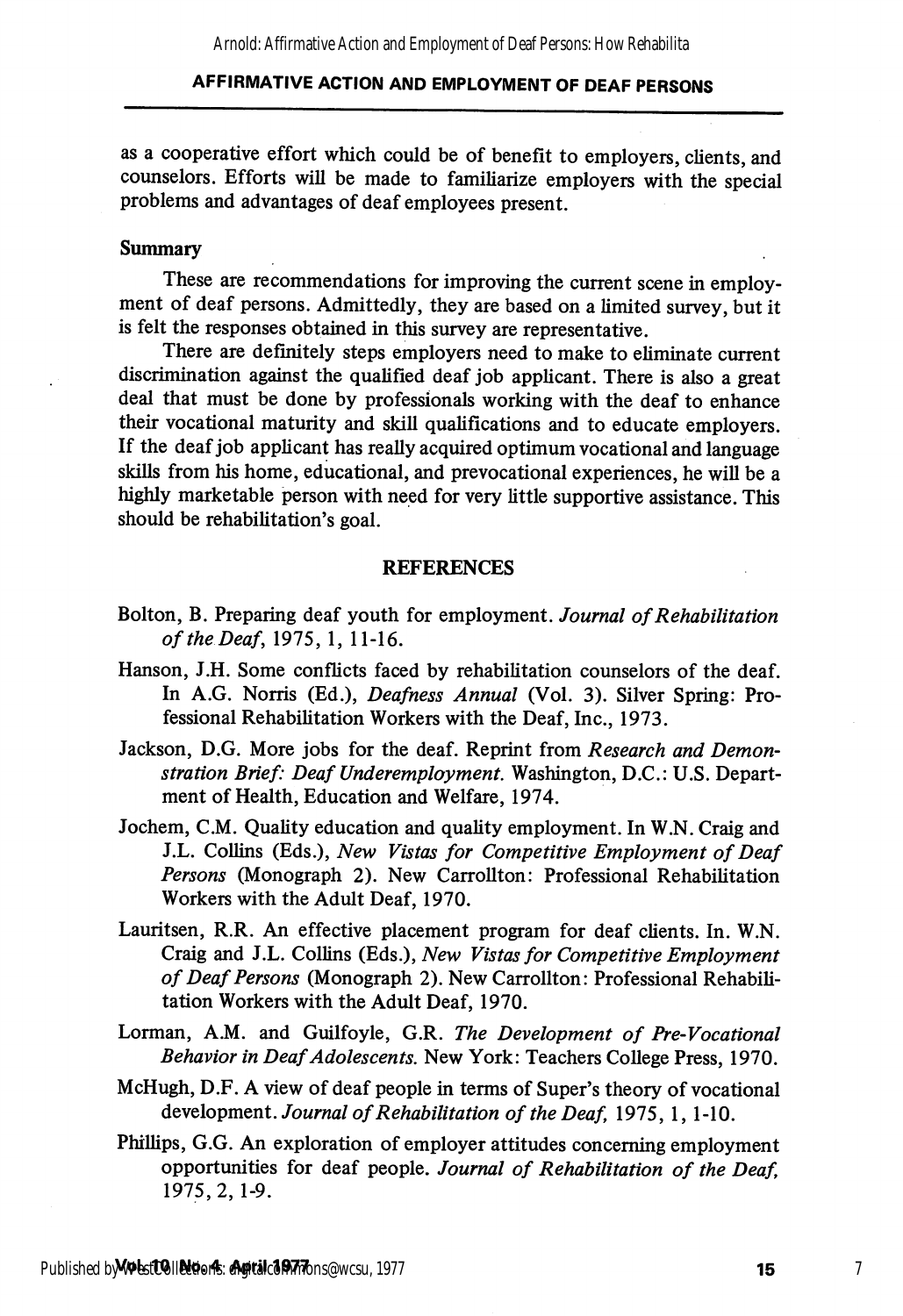as a cooperative effort which could be of benefit to employers, clients, and counselors. Efforts will be made to familiarize employers with the special problems and advantages of deaf employees present.

#### Summary

These are recommendations for improving the current scene in employment of deaf persons. Admittedly, they are based on a limited survey, but it is felt the responses obtained in this survey are representative.

There are definitely steps employers need to make to eliminate current discrimination against the qualified deaf job applicant. There is also a great deal that must be done by professionals working with the deaf to enhance their vocational maturity and skill qualifications and to educate employers. If the deaf job applicant has really acquired optimum vocational and language skills from his home, educational, and prevocational experiences, he will be a highly marketable person with need for very little supportive assistance. This should be rehabilitation's goal.

#### **REFERENCES**

- Bolton, B. Preparing deaf youth for employment. Journal of Rehabilitation of the Deaf, 1975,1, 11-16.
- Hanson, J.H. Some conflicts faced by rehabilitation counselors of the deaf. In A.G. Norris (Ed.), Deafness Annual (Vol. 3). Silver Spring: Pro fessional Rehabilitation Workers with the Deaf, Inc., 1973.
- Jackson, D.G. More jobs for the deaf. Reprint from Research and Demonstration Brief: Deaf Underemployment. Washington, D.C.: U.S. Depart ment of Health, Education and Welfare, 1974.
- Jochem, C.M. Quality education and quality employment. In W.N. Craig and J.L. Collins (Eds.), New Vistas for Competitive Employment of Deaf Persons (Monograph 2). New Carrollton: Professional Rehabilitation Workers with the Adult Deaf, 1970.
- Lauritsen, R.R. An effective placement program for deaf clients. In. W.N. Craig and J.L. Collins (Eds.), New Vistas for Competitive Employment of Deaf Persons (Monograph 2). New Carrollton: Professional Rehabili tation Workers with the Adult Deaf, 1970.
- Lorman, A.M. and Guilfoyle, G.R. The Development of Pre-Vocational Behavior in Deaf Adolescents. New York: Teachers College Press, 1970.
- McHugh, D.F. A view of deaf people in terms of Super's theory of vocational development. Journal of Rehabilitation of the Deaf, 1975, 1, 1-10.
- Phillips, G.G. An exploration of employer attitudes concerning employment opportunities for deaf people. Journal of Rehabilitation of the Deaf, 1975, 2, 1-9.